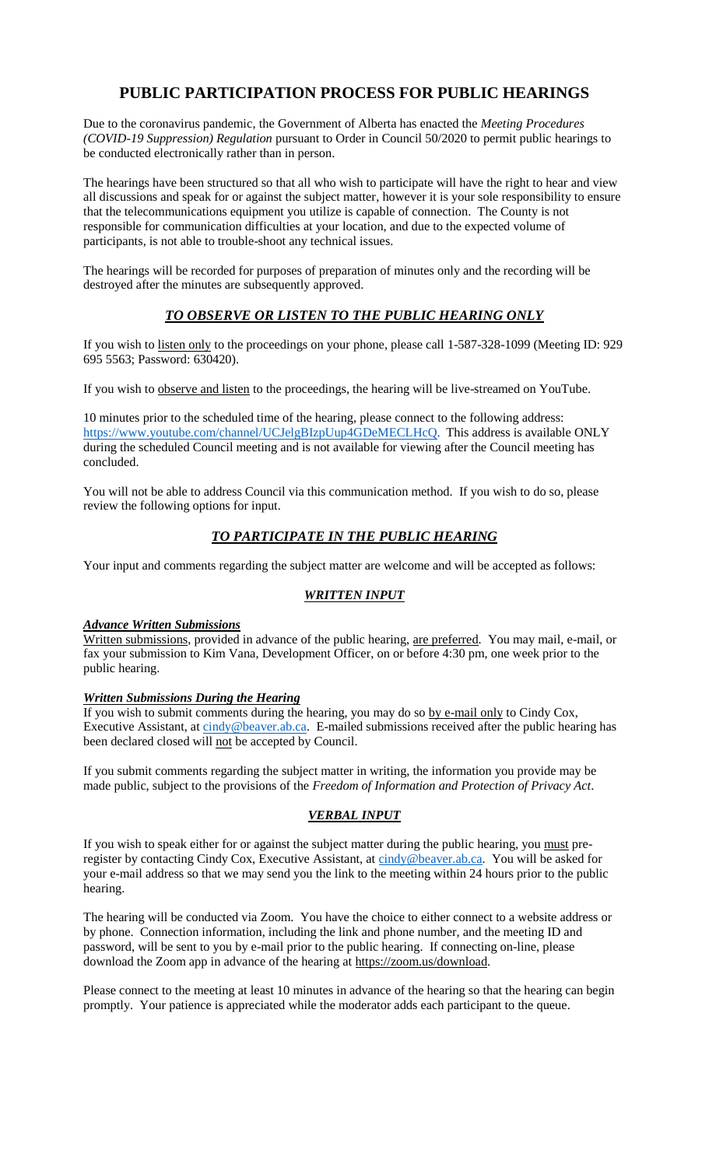# **PUBLIC PARTICIPATION PROCESS FOR PUBLIC HEARINGS**

Due to the coronavirus pandemic, the Government of Alberta has enacted the *Meeting Procedures (COVID-19 Suppression) Regulation* pursuant to Order in Council 50/2020 to permit public hearings to be conducted electronically rather than in person.

The hearings have been structured so that all who wish to participate will have the right to hear and view all discussions and speak for or against the subject matter, however it is your sole responsibility to ensure that the telecommunications equipment you utilize is capable of connection. The County is not responsible for communication difficulties at your location, and due to the expected volume of participants, is not able to trouble-shoot any technical issues.

The hearings will be recorded for purposes of preparation of minutes only and the recording will be destroyed after the minutes are subsequently approved.

## *TO OBSERVE OR LISTEN TO THE PUBLIC HEARING ONLY*

If you wish to listen only to the proceedings on your phone, please call 1-587-328-1099 (Meeting ID: 929 695 5563; Password: 630420).

If you wish to observe and listen to the proceedings, the hearing will be live-streamed on YouTube.

10 minutes prior to the scheduled time of the hearing, please connect to the following address: <https://www.youtube.com/channel/UCJelgBIzpUup4GDeMECLHcQ>. This address is available ONLY during the scheduled Council meeting and is not available for viewing after the Council meeting has concluded.

You will not be able to address Council via this communication method. If you wish to do so, please review the following options for input.

## *TO PARTICIPATE IN THE PUBLIC HEARING*

Your input and comments regarding the subject matter are welcome and will be accepted as follows:

#### *WRITTEN INPUT*

#### *Advance Written Submissions*

Written submissions, provided in advance of the public hearing, are preferred. You may mail, e-mail, or fax your submission to Kim Vana, Development Officer, on or before 4:30 pm, one week prior to the public hearing.

#### *Written Submissions During the Hearing*

If you wish to submit comments during the hearing, you may do so by e-mail only to Cindy Cox, Executive Assistant, at [cindy@beaver.ab.ca.](mailto:cindy@beaver.ab.ca) E-mailed submissions received after the public hearing has been declared closed will not be accepted by Council.

If you submit comments regarding the subject matter in writing, the information you provide may be made public, subject to the provisions of the *Freedom of Information and Protection of Privacy Act*.

## *VERBAL INPUT*

If you wish to speak either for or against the subject matter during the public hearing, you must preregister by contacting Cindy Cox, Executive Assistant, at [cindy@beaver.ab.ca.](mailto:cindy@beaver.ab.ca) You will be asked for your e-mail address so that we may send you the link to the meeting within 24 hours prior to the public hearing.

The hearing will be conducted via Zoom. You have the choice to either connect to a website address or by phone. Connection information, including the link and phone number, and the meeting ID and password, will be sent to you by e-mail prior to the public hearing. If connecting on-line, please download the Zoom app in advance of the hearing at [https://zoom.us/download.](https://zoom.us/download)

Please connect to the meeting at least 10 minutes in advance of the hearing so that the hearing can begin promptly. Your patience is appreciated while the moderator adds each participant to the queue.